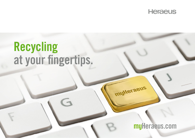

# Recycling at your fingertips.

G

myHeraeus.com

muHeraeus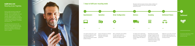## myHeraeus.com Recycling at your fingertips.

Precious metal recycling has always been associated with a lot of paper and time exposure – now it is finally easier. Our claim is to offer you the best solution for your challenge. Whether at work or on the way – the online platform myHeraeus.com helps you to optimize your workflow and keep track of everything. Digital, transparent, comfortable and intuitive to use.

The settlement process has been fully digitized, allowing a paperless process for the first time. Structured and user-friendly, the new online platform myHeraeus.com allows you to keep track of all processes – anytime, anywhere.





Settlement can be made on the basis of Heraeus settlement values or on the basis of values determined in the exchange procedure.

The precious metal will be credited

Depending on the quantity and type of material, the best possible sampling process for your material is chosen and a representative sample is drawn to determine the precious metal content of the material.

After a confirmation of the quotation, the order-specific details are reviewed and defined, in order to determine the following steps.

## 7 steps to fulfill your recycling needs

**Questionnaire** 

 $\rightarrow$ 

1.

The material questionnaire is used to classify your material according to the waste legislation and determine the best process method possible at Heraeus.

Heraeus will prepare an individual offer for you, based on the information in the material questionnaire.

The delivery of the material takes place after release on the specified delivery date. In the goods receipt, the gross weight of the delivery is recorded.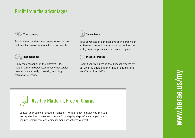## Profit from the advantages

#### Transparency Transparency

Stay informed on the current status of your orders Stay informed on the current status of your orders and maintain an overview of all your documents. and maintain an overview of all your documents.



#### Independence Independence

Enjoy the availability of the platform 24/7 – Enjoy the availability of the platform 24/7 – including the myHeraeus.com customer service including the myHeraeus.com customer service team which are ready to assist you during team which are ready to assist you during regular office hours. regular office hours.



#### Take advantage of our extensive online archive of Take advantage of our extensive online archive of all transactions and commissions, as well as the all transactions and commissions, as well as the ability to reuse previous orders as a template. ability to reuse previous orders as a template.

### Disposal process Disposal process

Benefit your business in the disposal process by Benefit your business in the disposal process by utilizing the additional information and material utilizing the additional information and material we offer on the platform. we offer on the platform.



Contact your personal account manager – we are happy to guide you through Contact your personal account manager – we are happy to guide you through the registration process and the platform step by step. Afterwards you can the registration process and the platform step by step. Afterwards you can use myHeraeus.com and enjoy its many advantages yourself. use myHeraeus.com and enjoy its many advantages yourself.